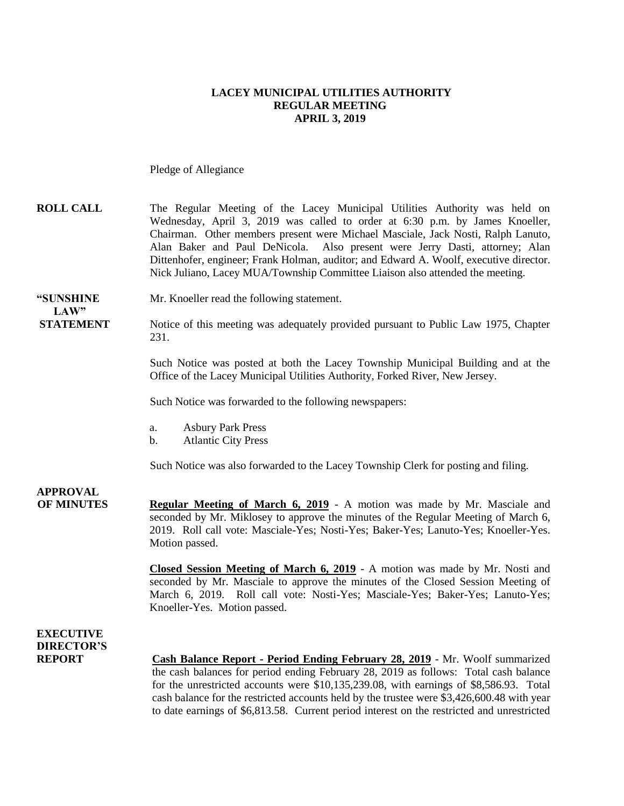#### **LACEY MUNICIPAL UTILITIES AUTHORITY REGULAR MEETING APRIL 3, 2019**

Pledge of Allegiance

### **ROLL CALL** The Regular Meeting of the Lacey Municipal Utilities Authority was held on Wednesday, April 3, 2019 was called to order at 6:30 p.m. by James Knoeller, Chairman. Other members present were Michael Masciale, Jack Nosti, Ralph Lanuto, Alan Baker and Paul DeNicola. Also present were Jerry Dasti, attorney; Alan Dittenhofer, engineer; Frank Holman, auditor; and Edward A. Woolf, executive director. Nick Juliano, Lacey MUA/Township Committee Liaison also attended the meeting.

**"SUNSHINE** Mr. Knoeller read the following statement.

**STATEMENT** Notice of this meeting was adequately provided pursuant to Public Law 1975, Chapter 231.

> Such Notice was posted at both the Lacey Township Municipal Building and at the Office of the Lacey Municipal Utilities Authority, Forked River, New Jersey.

Such Notice was forwarded to the following newspapers:

- a. Asbury Park Press
- b. Atlantic City Press

Such Notice was also forwarded to the Lacey Township Clerk for posting and filing.

# **APPROVAL**

 $LAW"$ 

**OF MINUTES Regular Meeting of March 6, 2019** - A motion was made by Mr. Masciale and seconded by Mr. Miklosey to approve the minutes of the Regular Meeting of March 6, 2019. Roll call vote: Masciale-Yes; Nosti-Yes; Baker-Yes; Lanuto-Yes; Knoeller-Yes. Motion passed.

> **Closed Session Meeting of March 6, 2019** - A motion was made by Mr. Nosti and seconded by Mr. Masciale to approve the minutes of the Closed Session Meeting of March 6, 2019. Roll call vote: Nosti-Yes; Masciale-Yes; Baker-Yes; Lanuto-Yes; Knoeller-Yes. Motion passed.

## **EXECUTIVE DIRECTOR'S**

**REPORT Cash Balance Report - Period Ending February 28, 2019** - Mr. Woolf summarized the cash balances for period ending February 28, 2019 as follows: Total cash balance for the unrestricted accounts were \$10,135,239.08, with earnings of \$8,586.93. Total cash balance for the restricted accounts held by the trustee were \$3,426,600.48 with year to date earnings of \$6,813.58. Current period interest on the restricted and unrestricted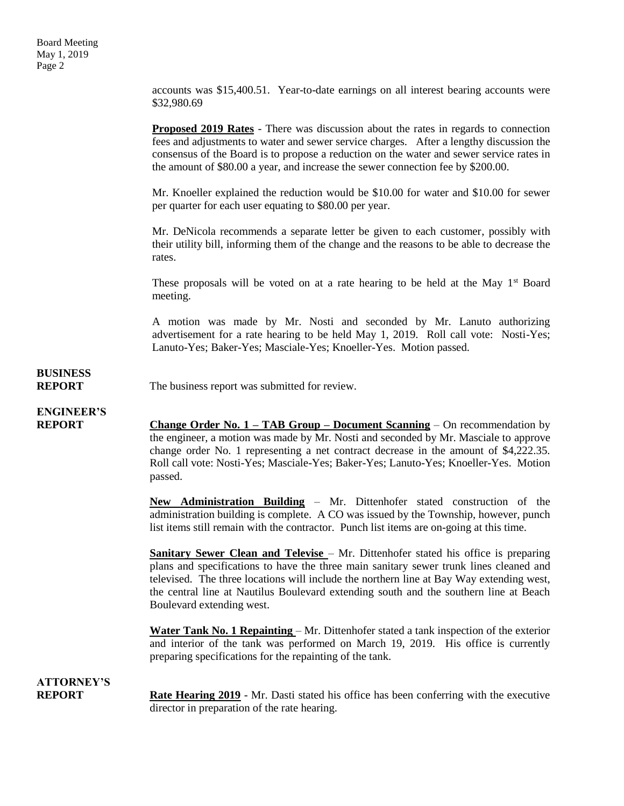accounts was \$15,400.51. Year-to-date earnings on all interest bearing accounts were \$32,980.69

**Proposed 2019 Rates** - There was discussion about the rates in regards to connection fees and adjustments to water and sewer service charges. After a lengthy discussion the consensus of the Board is to propose a reduction on the water and sewer service rates in the amount of \$80.00 a year, and increase the sewer connection fee by \$200.00.

Mr. Knoeller explained the reduction would be \$10.00 for water and \$10.00 for sewer per quarter for each user equating to \$80.00 per year.

Mr. DeNicola recommends a separate letter be given to each customer, possibly with their utility bill, informing them of the change and the reasons to be able to decrease the rates.

These proposals will be voted on at a rate hearing to be held at the May  $1<sup>st</sup>$  Board meeting.

A motion was made by Mr. Nosti and seconded by Mr. Lanuto authorizing advertisement for a rate hearing to be held May 1, 2019. Roll call vote: Nosti-Yes; Lanuto-Yes; Baker-Yes; Masciale-Yes; Knoeller-Yes. Motion passed.

# **BUSINESS**

**REPORT** The business report was submitted for review.

## **ENGINEER'S**

**REPORT Change Order No. 1 – TAB Group – Document Scanning** – On recommendation by the engineer, a motion was made by Mr. Nosti and seconded by Mr. Masciale to approve change order No. 1 representing a net contract decrease in the amount of \$4,222.35. Roll call vote: Nosti-Yes; Masciale-Yes; Baker-Yes; Lanuto-Yes; Knoeller-Yes. Motion passed.

> **New Administration Building** – Mr. Dittenhofer stated construction of the administration building is complete. A CO was issued by the Township, however, punch list items still remain with the contractor. Punch list items are on-going at this time.

> **Sanitary Sewer Clean and Televise** – Mr. Dittenhofer stated his office is preparing plans and specifications to have the three main sanitary sewer trunk lines cleaned and televised. The three locations will include the northern line at Bay Way extending west, the central line at Nautilus Boulevard extending south and the southern line at Beach Boulevard extending west.

> **Water Tank No. 1 Repainting** – Mr. Dittenhofer stated a tank inspection of the exterior and interior of the tank was performed on March 19, 2019. His office is currently preparing specifications for the repainting of the tank.

### **ATTORNEY'S**

**REPORT Rate Hearing 2019** - Mr. Dasti stated his office has been conferring with the executive director in preparation of the rate hearing.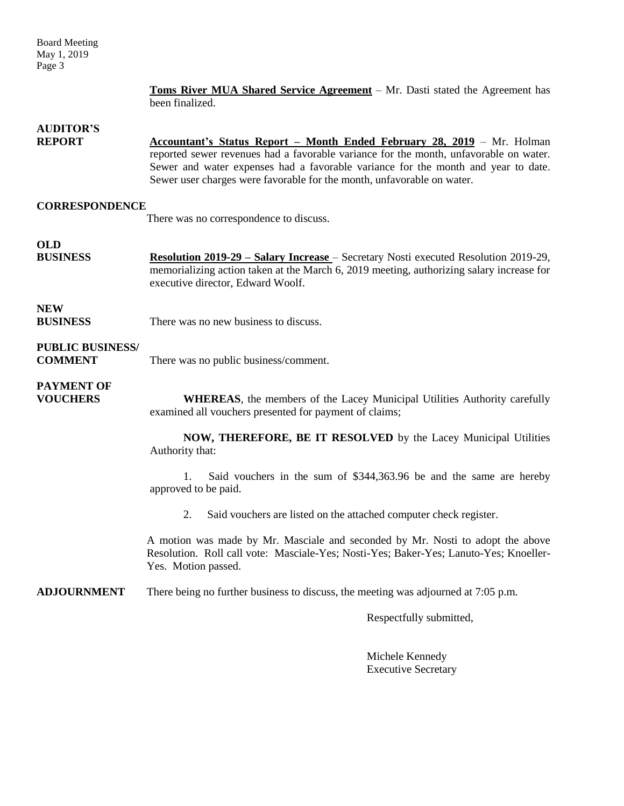Board Meeting May 1, 2019 Page 3

> **Toms River MUA Shared Service Agreement** – Mr. Dasti stated the Agreement has been finalized.

### **AUDITOR'S**

**REPORT Accountant's Status Report – Month Ended February 28, 2019** – Mr. Holman reported sewer revenues had a favorable variance for the month, unfavorable on water. Sewer and water expenses had a favorable variance for the month and year to date. Sewer user charges were favorable for the month, unfavorable on water.

### **CORRESPONDENCE**

There was no correspondence to discuss.

# **OLD**

**BUSINESS Resolution 2019-29 – Salary Increase** – Secretary Nosti executed Resolution 2019-29, memorializing action taken at the March 6, 2019 meeting, authorizing salary increase for executive director, Edward Woolf.

## **NEW**

**BUSINESS** There was no new business to discuss.

### **PUBLIC BUSINESS/**

**COMMENT** There was no public business/comment.

## **PAYMENT OF**

**VOUCHERS WHEREAS**, the members of the Lacey Municipal Utilities Authority carefully examined all vouchers presented for payment of claims;

> **NOW, THEREFORE, BE IT RESOLVED** by the Lacey Municipal Utilities Authority that:

> 1. Said vouchers in the sum of \$344,363.96 be and the same are hereby approved to be paid.

2. Said vouchers are listed on the attached computer check register.

A motion was made by Mr. Masciale and seconded by Mr. Nosti to adopt the above Resolution. Roll call vote: Masciale-Yes; Nosti-Yes; Baker-Yes; Lanuto-Yes; Knoeller-Yes. Motion passed.

**ADJOURNMENT** There being no further business to discuss, the meeting was adjourned at 7:05 p.m.

Respectfully submitted,

Michele Kennedy Executive Secretary